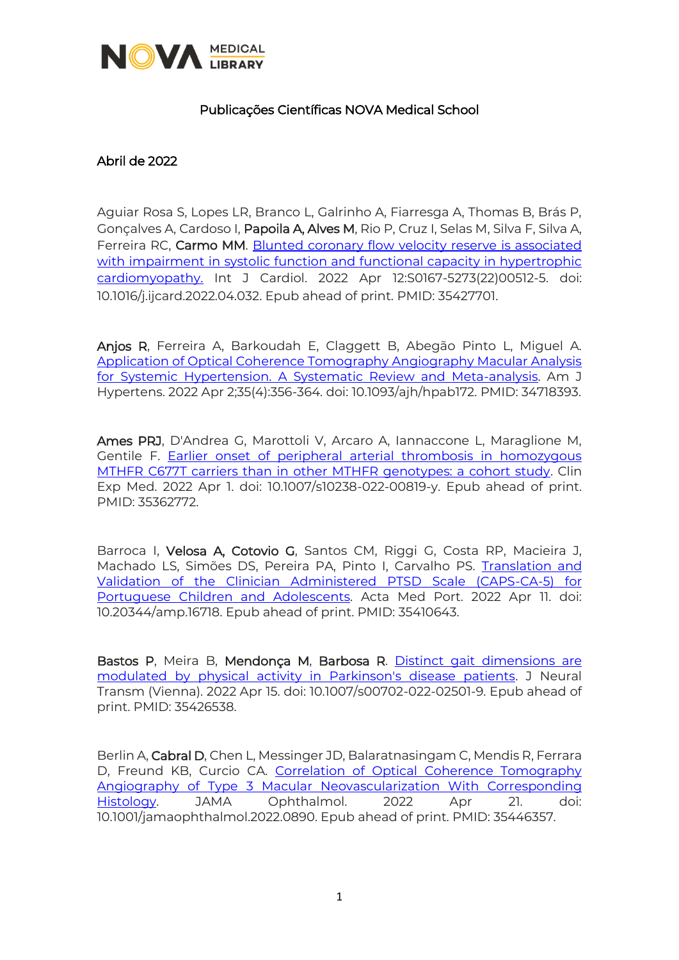

## Publicações Científicas NOVA Medical School

## Abril de 2022

Aguiar Rosa S, Lopes LR, Branco L, Galrinho A, Fiarresga A, Thomas B, Brás P, Gonçalves A, Cardoso I, Papoila A, Alves M, Rio P, Cruz I, Selas M, Silva F, Silva A, Ferreira RC, Carmo MM. [Blunted coronary flow velocity reserve is associated](https://www.sciencedirect.com/science/article/pii/S0167527322005125?via%3Dihub)  [with impairment in systolic function and functional capacity in hypertrophic](https://www.sciencedirect.com/science/article/pii/S0167527322005125?via%3Dihub)  [cardiomyopathy.](https://www.sciencedirect.com/science/article/pii/S0167527322005125?via%3Dihub) Int J Cardiol. 2022 Apr 12:S0167-5273(22)00512-5. doi: 10.1016/j.ijcard.2022.04.032. Epub ahead of print. PMID: 35427701.

Anjos R, Ferreira A, Barkoudah E, Claggett B, Abegão Pinto L, Miguel A. [Application of Optical Coherence Tomography Angiography Macular Analysis](https://academic.oup.com/ajh/article-abstract/35/4/356/6414525?redirectedFrom=fulltext&login=true)  [for Systemic Hypertension. A Systematic Review and Meta-analysis.](https://academic.oup.com/ajh/article-abstract/35/4/356/6414525?redirectedFrom=fulltext&login=true) Am J Hypertens. 2022 Apr 2;35(4):356-364. doi: 10.1093/ajh/hpab172. PMID: 34718393.

Ames PRJ, D'Andrea G, Marottoli V, Arcaro A, Iannaccone L, Maraglione M, Gentile F. [Earlier onset of peripheral arterial thrombosis in homozygous](https://link.springer.com/article/10.1007/s10238-022-00819-y)  [MTHFR C677T carriers than in other MTHFR genotypes: a cohort study.](https://link.springer.com/article/10.1007/s10238-022-00819-y) Clin Exp Med. 2022 Apr 1. doi: 10.1007/s10238-022-00819-y. Epub ahead of print. PMID: 35362772.

Barroca I, Velosa A, Cotovio G, Santos CM, Riggi G, Costa RP, Macieira J, Machado LS, Simões DS, Pereira PA, Pinto I, Carvalho PS. [Translation and](https://actamedicaportuguesa.com/revista/index.php/amp/article/view/16718)  [Validation of the Clinician Administered PTSD Scale \(CAPS-CA-5\) for](https://actamedicaportuguesa.com/revista/index.php/amp/article/view/16718)  [Portuguese Children and Adolescents.](https://actamedicaportuguesa.com/revista/index.php/amp/article/view/16718) Acta Med Port. 2022 Apr 11. doi: 10.20344/amp.16718. Epub ahead of print. PMID: 35410643.

Bastos P, Meira B, Mendonça M, Barbosa R. Distinct gait dimensions are [modulated by physical activity in Parkinson's disease patients.](https://link.springer.com/article/10.1007/s00702-022-02501-9) J Neural Transm (Vienna). 2022 Apr 15. doi: 10.1007/s00702-022-02501-9. Epub ahead of print. PMID: 35426538.

Berlin A, Cabral D, Chen L, Messinger JD, Balaratnasingam C, Mendis R, Ferrara D, Freund KB, Curcio CA. [Correlation of Optical Coherence Tomography](https://jamanetwork.com/journals/jamaophthalmology/article-abstract/2791338)  [Angiography of Type 3 Macular Neovascularization With Corresponding](https://jamanetwork.com/journals/jamaophthalmology/article-abstract/2791338)  [Histology.](https://jamanetwork.com/journals/jamaophthalmology/article-abstract/2791338) JAMA Ophthalmol. 2022 Apr 21. doi: 10.1001/jamaophthalmol.2022.0890. Epub ahead of print. PMID: 35446357.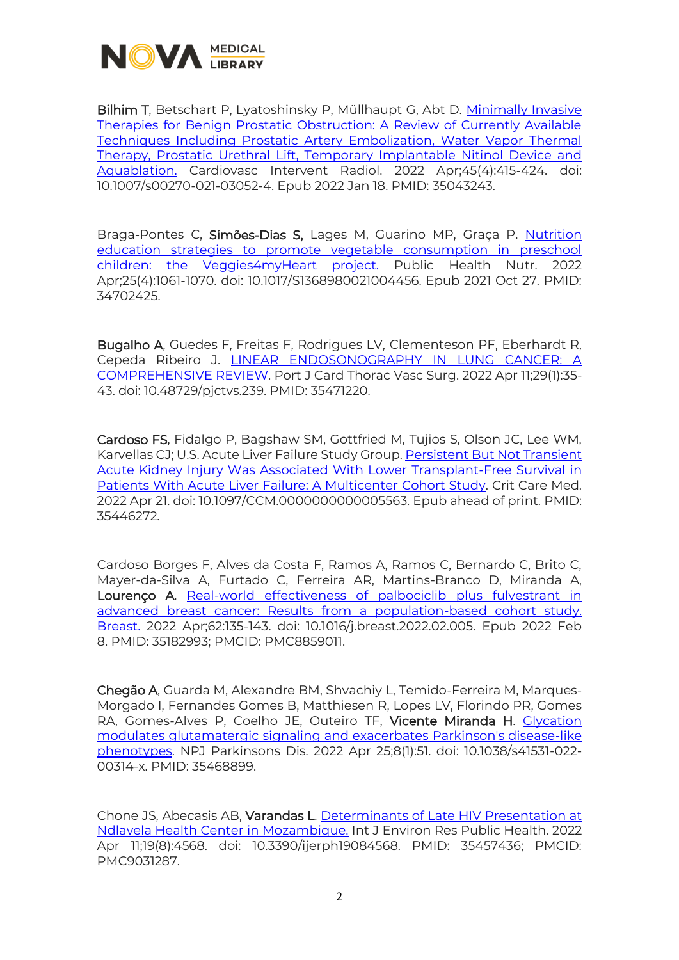

Bilhim T, Betschart P, Lyatoshinsky P, Müllhaupt G, Abt D. [Minimally Invasive](https://link.springer.com/article/10.1007/s00270-021-03052-4)  [Therapies for Benign Prostatic Obstruction: A Review of Currently Available](https://link.springer.com/article/10.1007/s00270-021-03052-4)  [Techniques Including Prostatic Artery Embolization, Water Vapor Thermal](https://link.springer.com/article/10.1007/s00270-021-03052-4)  [Therapy, Prostatic Urethral Lift, Temporary Implantable Nitinol Device and](https://link.springer.com/article/10.1007/s00270-021-03052-4)  [Aquablation.](https://link.springer.com/article/10.1007/s00270-021-03052-4) Cardiovasc Intervent Radiol. 2022 Apr;45(4):415-424. doi: 10.1007/s00270-021-03052-4. Epub 2022 Jan 18. PMID: 35043243.

Braga-Pontes C, Simões-Dias S, Lages M, Guarino MP, Graça P. [Nutrition](https://www.cambridge.org/core/journals/public-health-nutrition/article/nutrition-education-strategies-to-promote-vegetable-consumption-in-preschool-children-the-veggies4myheart-project/90933C2A7B15BC5E698A239073269D6A)  [education strategies to promote vegetable consumption in preschool](https://www.cambridge.org/core/journals/public-health-nutrition/article/nutrition-education-strategies-to-promote-vegetable-consumption-in-preschool-children-the-veggies4myheart-project/90933C2A7B15BC5E698A239073269D6A)  [children: the Veggies4myHeart project.](https://www.cambridge.org/core/journals/public-health-nutrition/article/nutrition-education-strategies-to-promote-vegetable-consumption-in-preschool-children-the-veggies4myheart-project/90933C2A7B15BC5E698A239073269D6A) Public Health Nutr. 2022 Apr;25(4):1061-1070. doi: 10.1017/S1368980021004456. Epub 2021 Oct 27. PMID: 34702425.

Bugalho A, Guedes F, Freitas F, Rodrigues LV, Clementeson PF, Eberhardt R, Cepeda Ribeiro J. [LINEAR ENDOSONOGRAPHY IN LUNG CANCER: A](https://pjctvs.com/index.php/journal/article/view/239)  [COMPREHENSIVE REVIEW.](https://pjctvs.com/index.php/journal/article/view/239) Port J Card Thorac Vasc Surg. 2022 Apr 11;29(1):35- 43. doi: 10.48729/pjctvs.239. PMID: 35471220.

Cardoso FS, Fidalgo P, Bagshaw SM, Gottfried M, Tujios S, Olson JC, Lee WM, Karvellas CJ; U.S. Acute Liver Failure Study Group[. Persistent But Not Transient](https://journals.lww.com/ccmjournal/Abstract/9900/Persistent_But_Not_Transient_Acute_Kidney_Injury.6.aspx)  [Acute Kidney Injury Was Associated With Lower Transplant-Free Survival in](https://journals.lww.com/ccmjournal/Abstract/9900/Persistent_But_Not_Transient_Acute_Kidney_Injury.6.aspx)  [Patients With Acute Liver Failure: A Multicenter Cohort Study.](https://journals.lww.com/ccmjournal/Abstract/9900/Persistent_But_Not_Transient_Acute_Kidney_Injury.6.aspx) Crit Care Med. 2022 Apr 21. doi: 10.1097/CCM.0000000000005563. Epub ahead of print. PMID: 35446272.

Cardoso Borges F, Alves da Costa F, Ramos A, Ramos C, Bernardo C, Brito C, Mayer-da-Silva A, Furtado C, Ferreira AR, Martins-Branco D, Miranda A, Lourenço A. [Real-world effectiveness of palbociclib plus fulvestrant in](https://www.ncbi.nlm.nih.gov/pmc/articles/PMC8859011/)  [advanced breast cancer: Results from a population-based cohort study.](https://www.ncbi.nlm.nih.gov/pmc/articles/PMC8859011/)  [Breast.](https://www.ncbi.nlm.nih.gov/pmc/articles/PMC8859011/) 2022 Apr;62:135-143. doi: 10.1016/j.breast.2022.02.005. Epub 2022 Feb 8. PMID: 35182993; PMCID: PMC8859011.

Chegão A, Guarda M, Alexandre BM, Shvachiy L, Temido-Ferreira M, Marques-Morgado I, Fernandes Gomes B, Matthiesen R, Lopes LV, Florindo PR, Gomes RA, Gomes-Alves P, Coelho JE, Outeiro TF, Vicente Miranda H. [Glycation](https://www.nature.com/articles/s41531-022-00314-x)  [modulates glutamatergic signaling and exacerbates Parkinson's disease-like](https://www.nature.com/articles/s41531-022-00314-x)  [phenotypes.](https://www.nature.com/articles/s41531-022-00314-x) NPJ Parkinsons Dis. 2022 Apr 25;8(1):51. doi: 10.1038/s41531-022- 00314-x. PMID: 35468899.

Chone JS, Abecasis AB, Varandas L. [Determinants of Late HIV Presentation at](https://www.mdpi.com/1660-4601/19/8/4568)  [Ndlavela Health Center](https://www.mdpi.com/1660-4601/19/8/4568) in Mozambique. Int J Environ Res Public Health. 2022 Apr 11;19(8):4568. doi: 10.3390/ijerph19084568. PMID: 35457436; PMCID: PMC9031287.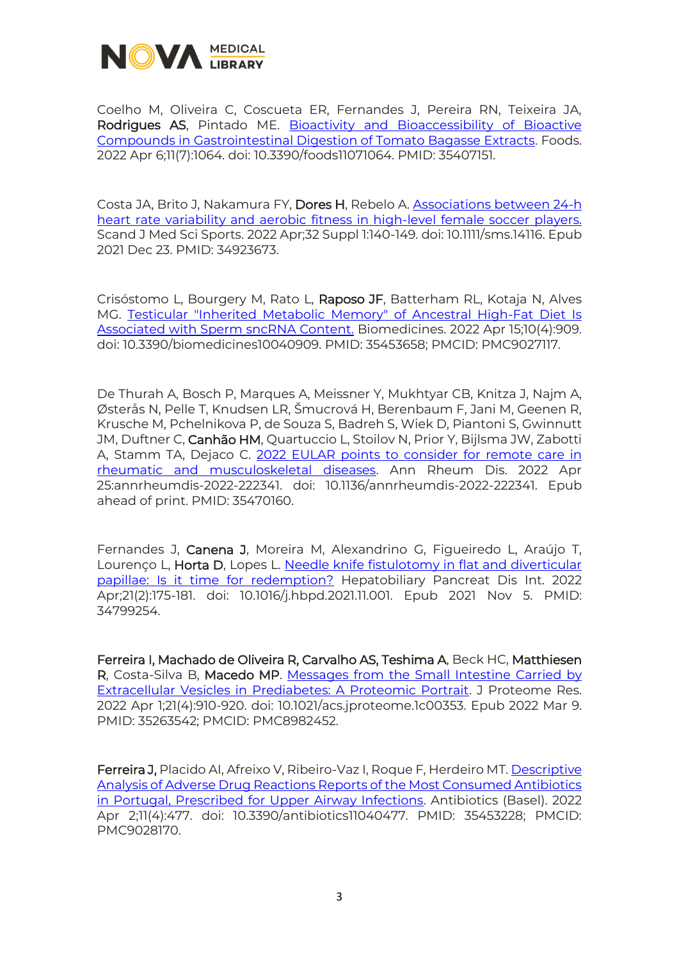

Coelho M, Oliveira C, Coscueta ER, Fernandes J, Pereira RN, Teixeira JA, Rodrigues AS, Pintado ME. [Bioactivity and Bioaccessibility of Bioactive](https://www.mdpi.com/2304-8158/11/7/1064)  [Compounds in Gastrointestinal Digestion of Tomato Bagasse Extracts.](https://www.mdpi.com/2304-8158/11/7/1064) Foods. 2022 Apr 6;11(7):1064. doi: 10.3390/foods11071064. PMID: 35407151.

Costa JA, Brito J, Nakamura FY, Dores H, Rebelo A. [Associations between 24-h](https://onlinelibrary.wiley.com/doi/10.1111/sms.14116)  [heart rate variability and aerobic fitness in high-level female soccer players.](https://onlinelibrary.wiley.com/doi/10.1111/sms.14116) Scand J Med Sci Sports. 2022 Apr;32 Suppl 1:140-149. doi: 10.1111/sms.14116. Epub 2021 Dec 23. PMID: 34923673.

Crisóstomo L, Bourgery M, Rato L, Raposo JF, Batterham RL, Kotaja N, Alves MG. [Testicular "Inherited Metabolic Memory" of Ancestral High-Fat Diet Is](https://www.mdpi.com/2227-9059/10/4/909)  [Associated with Sperm sncRNA Content.](https://www.mdpi.com/2227-9059/10/4/909) Biomedicines. 2022 Apr 15;10(4):909. doi: 10.3390/biomedicines10040909. PMID: 35453658; PMCID: PMC9027117.

De Thurah A, Bosch P, Marques A, Meissner Y, Mukhtyar CB, Knitza J, Najm A, Østerås N, Pelle T, Knudsen LR, Šmucrová H, Berenbaum F, Jani M, Geenen R, Krusche M, Pchelnikova P, de Souza S, Badreh S, Wiek D, Piantoni S, Gwinnutt JM, Duftner C, Canhão HM, Quartuccio L, Stoilov N, Prior Y, Bijlsma JW, Zabotti A, Stamm TA, Dejaco C. 2022 EULAR points to consider for remote care in [rheumatic and musculoskeletal diseases.](https://ard.bmj.com/content/early/2022/04/24/annrheumdis-2022-222341) Ann Rheum Dis. 2022 Apr 25:annrheumdis-2022-222341. doi: 10.1136/annrheumdis-2022-222341. Epub ahead of print. PMID: 35470160.

Fernandes J, Canena J, Moreira M, Alexandrino G, Figueiredo L, Araújo T, Lourenço L, Horta D, Lopes L. Needle knife fistulotomy in flat and diverticular [papillae: Is it time for redemption?](https://www.sciencedirect.com/science/article/pii/S1499387221002009?via%3Dihub) Hepatobiliary Pancreat Dis Int. 2022 Apr;21(2):175-181. doi: 10.1016/j.hbpd.2021.11.001. Epub 2021 Nov 5. PMID: 34799254.

Ferreira I, Machado de Oliveira R, Carvalho AS, Teshima A, Beck HC, Matthiesen R, Costa-Silva B, Macedo MP. [Messages from the Small Intestine Carried by](https://pubs.acs.org/doi/10.1021/acs.jproteome.1c00353)  [Extracellular Vesicles in Prediabetes: A Proteomic Portrait.](https://pubs.acs.org/doi/10.1021/acs.jproteome.1c00353) J Proteome Res. 2022 Apr 1;21(4):910-920. doi: 10.1021/acs.jproteome.1c00353. Epub 2022 Mar 9. PMID: 35263542; PMCID: PMC8982452.

Ferreira J, Placido AI, Afreixo V, Ribeiro-Vaz I, Roque F, Herdeiro MT. [Descriptive](https://www.mdpi.com/2079-6382/11/4/477)  [Analysis of Adverse Drug Reactions Reports of the Most Consumed Antibiotics](https://www.mdpi.com/2079-6382/11/4/477)  [in Portugal, Prescribed for Upper Airway Infections.](https://www.mdpi.com/2079-6382/11/4/477) Antibiotics (Basel). 2022 Apr 2;11(4):477. doi: 10.3390/antibiotics11040477. PMID: 35453228; PMCID: PMC9028170.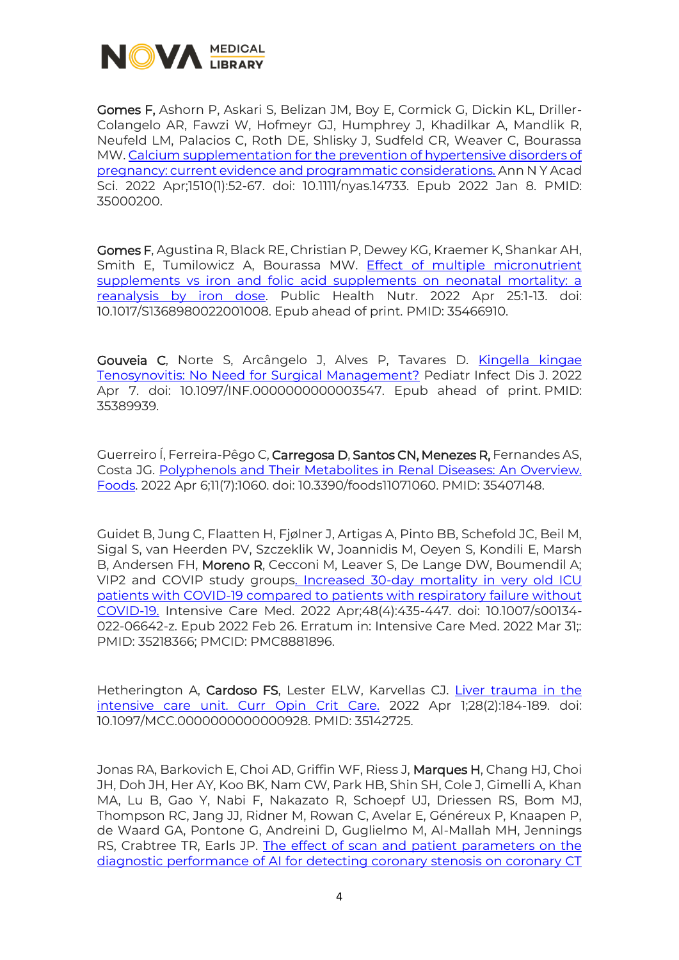

Gomes F, Ashorn P, Askari S, Belizan JM, Boy E, Cormick G, Dickin KL, Driller-Colangelo AR, Fawzi W, Hofmeyr GJ, Humphrey J, Khadilkar A, Mandlik R, Neufeld LM, Palacios C, Roth DE, Shlisky J, Sudfeld CR, Weaver C, Bourassa MW[. Calcium supplementation for the prevention of hypertensive disorders of](https://nyaspubs.onlinelibrary.wiley.com/doi/10.1111/nyas.14733)  [pregnancy: current evidence and programmatic considerations.](https://nyaspubs.onlinelibrary.wiley.com/doi/10.1111/nyas.14733) Ann N Y Acad Sci. 2022 Apr;1510(1):52-67. doi: 10.1111/nyas.14733. Epub 2022 Jan 8. PMID: 35000200.

Gomes F, Agustina R, Black RE, Christian P, Dewey KG, Kraemer K, Shankar AH, Smith E, Tumilowicz A, Bourassa MW. [Effect of multiple micronutrient](https://www.cambridge.org/core/journals/public-health-nutrition/article/effect-of-multiple-micronutrient-supplements-vs-iron-and-folic-acid-supplements-on-neonatal-mortality-a-reanalysis-by-iron-dose/B75D895AC8696848CBB4E429A31AB722)  supplements vs iron and folic acid supplements on neonatal mortality: a [reanalysis by iron dose.](https://www.cambridge.org/core/journals/public-health-nutrition/article/effect-of-multiple-micronutrient-supplements-vs-iron-and-folic-acid-supplements-on-neonatal-mortality-a-reanalysis-by-iron-dose/B75D895AC8696848CBB4E429A31AB722) Public Health Nutr. 2022 Apr 25:1-13. doi: 10.1017/S1368980022001008. Epub ahead of print. PMID: 35466910.

Gouveia C, Norte S, Arcângelo J, Alves P, Tavares D. [Kingella kingae](https://journals.lww.com/pidj/Fulltext/9900/Kingella_kingae_Tenosynovitis__No_Need_for.34.aspx)  [Tenosynovitis: No Need for Surgical Management?](https://journals.lww.com/pidj/Fulltext/9900/Kingella_kingae_Tenosynovitis__No_Need_for.34.aspx) Pediatr Infect Dis J. 2022 Apr 7. doi: 10.1097/INF.0000000000003547. Epub ahead of print. PMID: 35389939.

Guerreiro Í, Ferreira-Pêgo C, Carregosa D, Santos CN, Menezes R, Fernandes AS, Costa JG. [Polyphenols and Their Metabolites in Renal Diseases: An Overview.](https://www.mdpi.com/2304-8158/11/7/1060)  [Foods.](https://www.mdpi.com/2304-8158/11/7/1060) 2022 Apr 6;11(7):1060. doi: 10.3390/foods11071060. PMID: 35407148.

Guidet B, Jung C, Flaatten H, Fjølner J, Artigas A, Pinto BB, Schefold JC, Beil M, Sigal S, van Heerden PV, Szczeklik W, Joannidis M, Oeyen S, Kondili E, Marsh B, Andersen FH, Moreno R, Cecconi M, Leaver S, De Lange DW, Boumendil A; VIP2 and COVIP study group[s. Increased 30-day mortality in very old ICU](https://link.springer.com/article/10.1007/s00134-022-06642-z)  [patients with COVID-19 compared to patients with respiratory failure without](https://link.springer.com/article/10.1007/s00134-022-06642-z)  [COVID-19.](https://link.springer.com/article/10.1007/s00134-022-06642-z) Intensive Care Med. 2022 Apr;48(4):435-447. doi: 10.1007/s00134- 022-06642-z. Epub 2022 Feb 26. Erratum in: Intensive Care Med. 2022 Mar 31;: PMID: 35218366; PMCID: PMC8881896.

Hetherington A, Cardoso FS, Lester ELW, Karvellas CJ. [Liver trauma in the](https://journals.lww.com/co-criticalcare/Abstract/2022/04000/Liver_trauma_in_the_intensive_care_unit.12.aspx)  [intensive care unit. Curr Opin Crit Care.](https://journals.lww.com/co-criticalcare/Abstract/2022/04000/Liver_trauma_in_the_intensive_care_unit.12.aspx) 2022 Apr 1;28(2):184-189. doi: 10.1097/MCC.0000000000000928. PMID: 35142725.

Jonas RA, Barkovich E, Choi AD, Griffin WF, Riess J, Marques H, Chang HJ, Choi JH, Doh JH, Her AY, Koo BK, Nam CW, Park HB, Shin SH, Cole J, Gimelli A, Khan MA, Lu B, Gao Y, Nabi F, Nakazato R, Schoepf UJ, Driessen RS, Bom MJ, Thompson RC, Jang JJ, Ridner M, Rowan C, Avelar E, Généreux P, Knaapen P, de Waard GA, Pontone G, Andreini D, Guglielmo M, Al-Mallah MH, Jennings RS, Crabtree TR, Earls JP. [The effect of scan and patient parameters on the](https://www.sciencedirect.com/science/article/pii/S0899707122000250?via%3Dihub)  [diagnostic performance of AI for detecting coronary stenosis on coronary CT](https://www.sciencedirect.com/science/article/pii/S0899707122000250?via%3Dihub)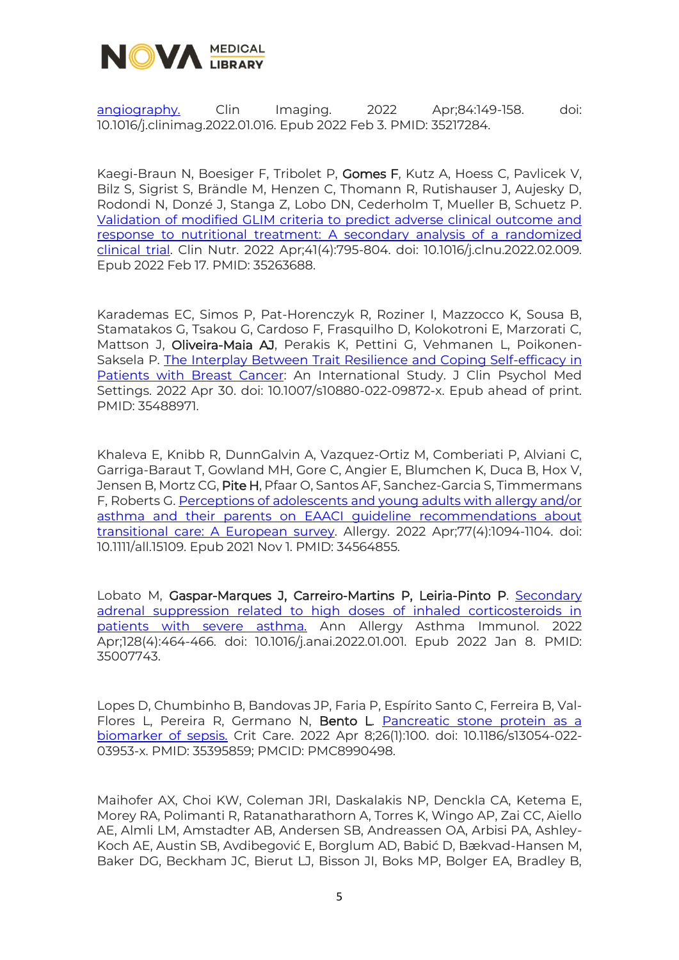

[angiography.](https://www.sciencedirect.com/science/article/pii/S0899707122000250?via%3Dihub) Clin Imaging. 2022 Apr;84:149-158. doi: 10.1016/j.clinimag.2022.01.016. Epub 2022 Feb 3. PMID: 35217284.

Kaegi-Braun N, Boesiger F, Tribolet P, Gomes F, Kutz A, Hoess C, Pavlicek V, Bilz S, Sigrist S, Brändle M, Henzen C, Thomann R, Rutishauser J, Aujesky D, Rodondi N, Donzé J, Stanga Z, Lobo DN, Cederholm T, Mueller B, Schuetz P. [Validation of modified GLIM criteria to predict adverse clinical outcome and](https://www.sciencedirect.com/science/article/pii/S0261561422000516?via%3Dihub)  [response to nutritional treatment: A secondary analysis of a randomized](https://www.sciencedirect.com/science/article/pii/S0261561422000516?via%3Dihub)  [clinical trial.](https://www.sciencedirect.com/science/article/pii/S0261561422000516?via%3Dihub) Clin Nutr. 2022 Apr;41(4):795-804. doi: 10.1016/j.clnu.2022.02.009. Epub 2022 Feb 17. PMID: 35263688.

Karademas EC, Simos P, Pat-Horenczyk R, Roziner I, Mazzocco K, Sousa B, Stamatakos G, Tsakou G, Cardoso F, Frasquilho D, Kolokotroni E, Marzorati C, Mattson J, Oliveira-Maia AJ, Perakis K, Pettini G, Vehmanen L, Poikonen-Saksela P. [The Interplay Between Trait Resilience and Coping Self-efficacy in](https://link.springer.com/article/10.1007/s10880-022-09872-x)  [Patients with Breast Cancer:](https://link.springer.com/article/10.1007/s10880-022-09872-x) An International Study. J Clin Psychol Med Settings. 2022 Apr 30. doi: 10.1007/s10880-022-09872-x. Epub ahead of print. PMID: 35488971.

Khaleva E, Knibb R, DunnGalvin A, Vazquez-Ortiz M, Comberiati P, Alviani C, Garriga-Baraut T, Gowland MH, Gore C, Angier E, Blumchen K, Duca B, Hox V, Jensen B, Mortz CG, Pite H, Pfaar O, Santos AF, Sanchez-Garcia S, Timmermans F, Roberts G. Perceptions of adolescents and young adults with allergy and/or asthma and their parents on [EAACI guideline recommendations about](https://onlinelibrary.wiley.com/doi/10.1111/all.15109)  [transitional care: A European survey.](https://onlinelibrary.wiley.com/doi/10.1111/all.15109) Allergy. 2022 Apr;77(4):1094-1104. doi: 10.1111/all.15109. Epub 2021 Nov 1. PMID: 34564855.

Lobato M, Gaspar-Marques J, Carreiro-Martins P, Leiria-Pinto P. [Secondary](https://www.sciencedirect.com/science/article/abs/pii/S1081120622000023?via%3Dihub)  [adrenal suppression related to high doses of inhaled corticosteroids in](https://www.sciencedirect.com/science/article/abs/pii/S1081120622000023?via%3Dihub)  [patients with severe asthma.](https://www.sciencedirect.com/science/article/abs/pii/S1081120622000023?via%3Dihub) Ann Allergy Asthma Immunol. 2022 Apr;128(4):464-466. doi: 10.1016/j.anai.2022.01.001. Epub 2022 Jan 8. PMID: 35007743.

Lopes D, Chumbinho B, Bandovas JP, Faria P, Espírito Santo C, Ferreira B, Val-Flores L, Pereira R, Germano N, Bento L. [Pancreatic stone protein as a](https://ccforum.biomedcentral.com/articles/10.1186/s13054-022-03953-x)  [biomarker of sepsis.](https://ccforum.biomedcentral.com/articles/10.1186/s13054-022-03953-x) Crit Care. 2022 Apr 8;26(1):100. doi: 10.1186/s13054-022- 03953-x. PMID: 35395859; PMCID: PMC8990498.

Maihofer AX, Choi KW, Coleman JRI, Daskalakis NP, Denckla CA, Ketema E, Morey RA, Polimanti R, Ratanatharathorn A, Torres K, Wingo AP, Zai CC, Aiello AE, Almli LM, Amstadter AB, Andersen SB, Andreassen OA, Arbisi PA, Ashley-Koch AE, Austin SB, Avdibegović E, Borglum AD, Babić D, Bækvad-Hansen M, Baker DG, Beckham JC, Bierut LJ, Bisson JI, Boks MP, Bolger EA, Bradley B,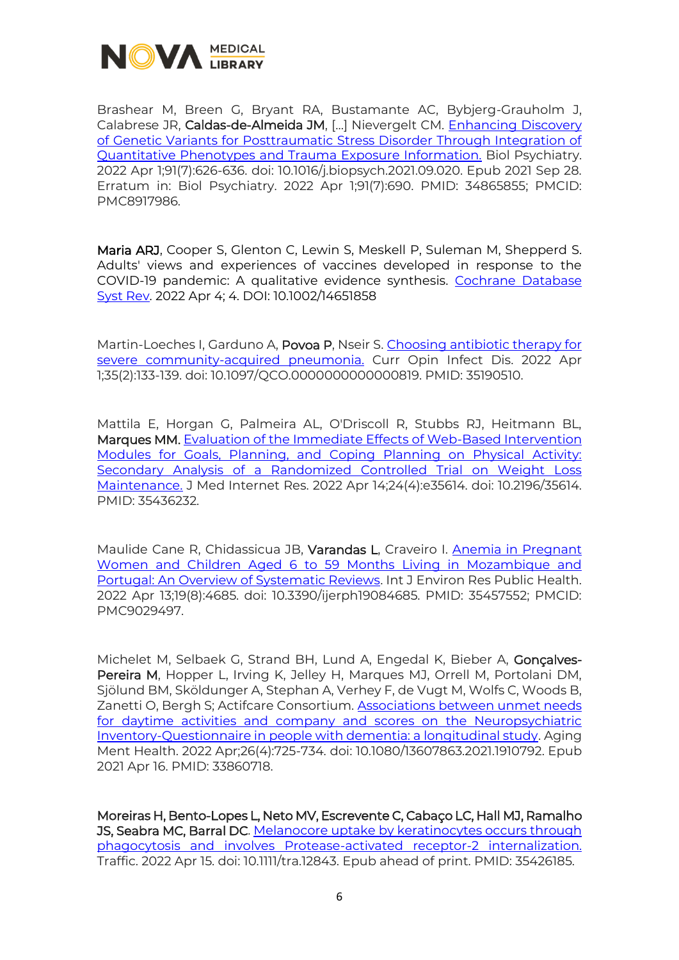

Brashear M, Breen G, Bryant RA, Bustamante AC, Bybjerg-Grauholm J, Calabrese JR, Caldas-de-Almeida JM, [...] Nievergelt CM. Enhancing Discovery [of Genetic Variants for Posttraumatic Stress Disorder Through Integration of](https://www.ncbi.nlm.nih.gov/pmc/articles/PMC8917986/)  [Quantitative Phenotypes and Trauma Exposure Information.](https://www.ncbi.nlm.nih.gov/pmc/articles/PMC8917986/) Biol Psychiatry. 2022 Apr 1;91(7):626-636. doi: 10.1016/j.biopsych.2021.09.020. Epub 2021 Sep 28. Erratum in: Biol Psychiatry. 2022 Apr 1;91(7):690. PMID: 34865855; PMCID: PMC8917986.

Maria ARJ, Cooper S, Glenton C, Lewin S, Meskell P, Suleman M, Shepperd S. Adults' views and experiences of vaccines developed in response to the COVID-19 pandemic: A qualitative evidence synthesis. [Cochrane Database](https://www.cochranelibrary.com/cdsr/doi/10.1002/14651858.CD015291/full)  [Syst Rev.](https://www.cochranelibrary.com/cdsr/doi/10.1002/14651858.CD015291/full) 2022 Apr 4; 4. DOI: 10.1002/14651858

Martin-Loeches I, Garduno A, Povoa P, Nseir S. Choosing antibiotic therapy for [severe community-acquired pneumonia.](https://journals.lww.com/co-infectiousdiseases/Abstract/2022/04000/Choosing_antibiotic_therapy_for_severe.11.aspx) Curr Opin Infect Dis. 2022 Apr 1;35(2):133-139. doi: 10.1097/QCO.0000000000000819. PMID: 35190510.

Mattila E, Horgan G, Palmeira AL, O'Driscoll R, Stubbs RJ, Heitmann BL, Marques MM. [Evaluation of the Immediate Effects of Web-Based Intervention](https://www.jmir.org/2022/4/e35614)  [Modules for Goals, Planning, and Coping Planning on Physical Activity:](https://www.jmir.org/2022/4/e35614)  [Secondary Analysis of a Randomized Controlled Trial on Weight Loss](https://www.jmir.org/2022/4/e35614)  [Maintenance.](https://www.jmir.org/2022/4/e35614) J Med Internet Res. 2022 Apr 14;24(4):e35614. doi: 10.2196/35614. PMID: 35436232.

Maulide Cane R, Chidassicua JB, Varandas L, Craveiro I. [Anemia in Pregnant](https://www.mdpi.com/1660-4601/19/8/4685)  [Women and Children Aged 6 to 59 Months Living in Mozambique and](https://www.mdpi.com/1660-4601/19/8/4685)  [Portugal: An Overview of Systematic Reviews.](https://www.mdpi.com/1660-4601/19/8/4685) Int J Environ Res Public Health. 2022 Apr 13;19(8):4685. doi: 10.3390/ijerph19084685. PMID: 35457552; PMCID: PMC9029497.

Michelet M, Selbaek G, Strand BH, Lund A, Engedal K, Bieber A, Gonçalves-Pereira M, Hopper L, Irving K, Jelley H, Marques MJ, Orrell M, Portolani DM, Sjölund BM, Sköldunger A, Stephan A, Verhey F, de Vugt M, Wolfs C, Woods B, Zanetti O, Bergh S; Actifcare Consortium. [Associations between unmet needs](https://www.tandfonline.com/doi/full/10.1080/13607863.2021.1910792)  [for daytime activities and company and scores on the Neuropsychiatric](https://www.tandfonline.com/doi/full/10.1080/13607863.2021.1910792)  [Inventory-Questionnaire in people with dementia: a longitudinal study.](https://www.tandfonline.com/doi/full/10.1080/13607863.2021.1910792) Aging Ment Health. 2022 Apr;26(4):725-734. doi: 10.1080/13607863.2021.1910792. Epub 2021 Apr 16. PMID: 33860718.

Moreiras H, Bento-Lopes L, Neto MV, Escrevente C, Cabaço LC, Hall MJ, Ramalho JS, Seabra MC, Barral DC. Melanocore [uptake by keratinocytes occurs through](https://onlinelibrary.wiley.com/doi/10.1111/tra.12843)  [phagocytosis and involves Protease-activated receptor-2 internalization.](https://onlinelibrary.wiley.com/doi/10.1111/tra.12843) Traffic. 2022 Apr 15. doi: 10.1111/tra.12843. Epub ahead of print. PMID: 35426185.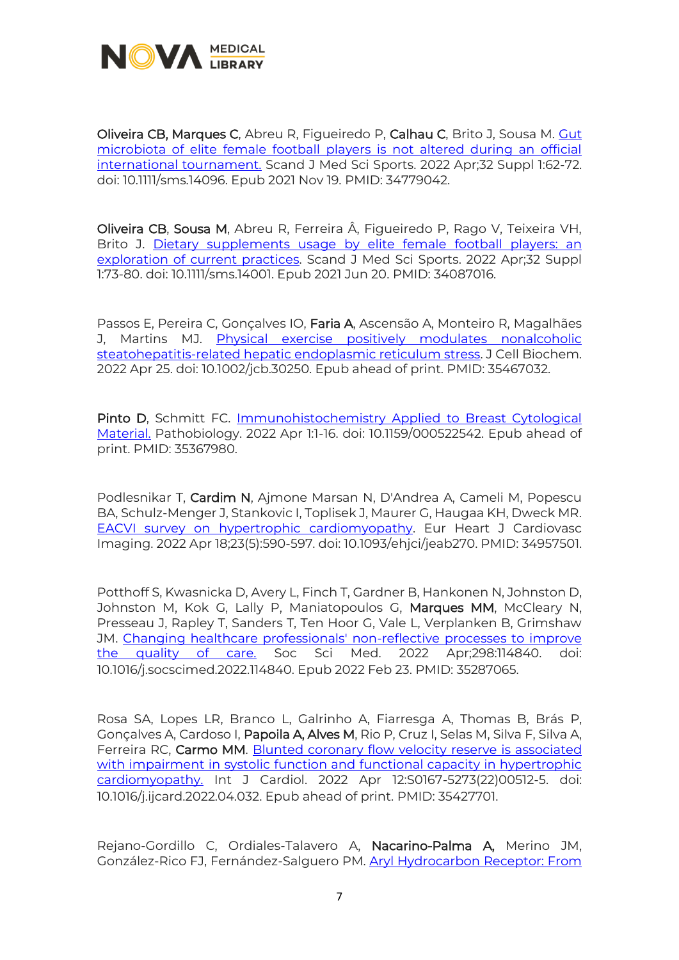

Oliveira CB, Marques C, Abreu R, Figueiredo P, Calhau C, Brito J, Sousa M. [Gut](https://onlinelibrary.wiley.com/doi/10.1111/sms.14096)  [microbiota of elite female football players is not altered during an official](https://onlinelibrary.wiley.com/doi/10.1111/sms.14096)  [international tournament.](https://onlinelibrary.wiley.com/doi/10.1111/sms.14096) Scand J Med Sci Sports. 2022 Apr;32 Suppl 1:62-72. doi: 10.1111/sms.14096. Epub 2021 Nov 19. PMID: 34779042.

Oliveira CB, Sousa M, Abreu R, Ferreira Â, Figueiredo P, Rago V, Teixeira VH, Brito J. [Dietary supplements usage by elite female football players: an](https://onlinelibrary.wiley.com/doi/10.1111/sms.14001)  [exploration of current practices.](https://onlinelibrary.wiley.com/doi/10.1111/sms.14001) Scand J Med Sci Sports. 2022 Apr;32 Suppl 1:73-80. doi: 10.1111/sms.14001. Epub 2021 Jun 20. PMID: 34087016.

Passos E, Pereira C, Gonçalves IO, Faria A, Ascensão A, Monteiro R, Magalhães J, Martins MJ. Physical exercise positively modulates nonalcoholic [steatohepatitis-related hepatic endoplasmic reticulum stress.](https://onlinelibrary.wiley.com/doi/10.1002/jcb.30250) J Cell Biochem. 2022 Apr 25. doi: 10.1002/jcb.30250. Epub ahead of print. PMID: 35467032.

Pinto D, Schmitt FC. [Immunohistochemistry Applied to Breast Cytological](https://www.karger.com/Article/FullText/522542)  [Material.](https://www.karger.com/Article/FullText/522542) Pathobiology. 2022 Apr 1:1-16. doi: 10.1159/000522542. Epub ahead of print. PMID: 35367980.

Podlesnikar T, Cardim N, Ajmone Marsan N, D'Andrea A, Cameli M, Popescu BA, Schulz-Menger J, Stankovic I, Toplisek J, Maurer G, Haugaa KH, Dweck MR. [EACVI survey on hypertrophic cardiomyopathy.](https://academic.oup.com/ehjcimaging/article/23/5/590/6484421?login=true) Eur Heart J Cardiovasc Imaging. 2022 Apr 18;23(5):590-597. doi: 10.1093/ehjci/jeab270. PMID: 34957501.

Potthoff S, Kwasnicka D, Avery L, Finch T, Gardner B, Hankonen N, Johnston D, Johnston M, Kok G, Lally P, Maniatopoulos G, Marques MM, McCleary N, Presseau J, Rapley T, Sanders T, Ten Hoor G, Vale L, Verplanken B, Grimshaw JM. [Changing healthcare professionals' non-reflective processes to improve](https://www.sciencedirect.com/science/article/pii/S0277953622001460?via%3Dihub)  [the quality of care.](https://www.sciencedirect.com/science/article/pii/S0277953622001460?via%3Dihub) Soc Sci Med. 2022 Apr;298:114840. doi: 10.1016/j.socscimed.2022.114840. Epub 2022 Feb 23. PMID: 35287065.

Rosa SA, Lopes LR, Branco L, Galrinho A, Fiarresga A, Thomas B, Brás P, Gonçalves A, Cardoso I, Papoila A, Alves M, Rio P, Cruz I, Selas M, Silva F, Silva A, Ferreira RC, Carmo MM. [Blunted coronary flow velocity](https://www.sciencedirect.com/science/article/pii/S0167527322005125?via%3Dihub) reserve is associated with impairment in systolic function and functional capacity in hypertrophic [cardiomyopathy.](https://www.sciencedirect.com/science/article/pii/S0167527322005125?via%3Dihub) Int J Cardiol. 2022 Apr 12:S0167-5273(22)00512-5. doi: 10.1016/j.ijcard.2022.04.032. Epub ahead of print. PMID: 35427701.

Rejano-Gordillo C, Ordiales-Talavero A, Nacarino-Palma A, Merino JM, González-Rico FJ, Fernández-Salguero PM. [Aryl Hydrocarbon Receptor: From](https://www.frontiersin.org/articles/10.3389/fcell.2022.884004/full)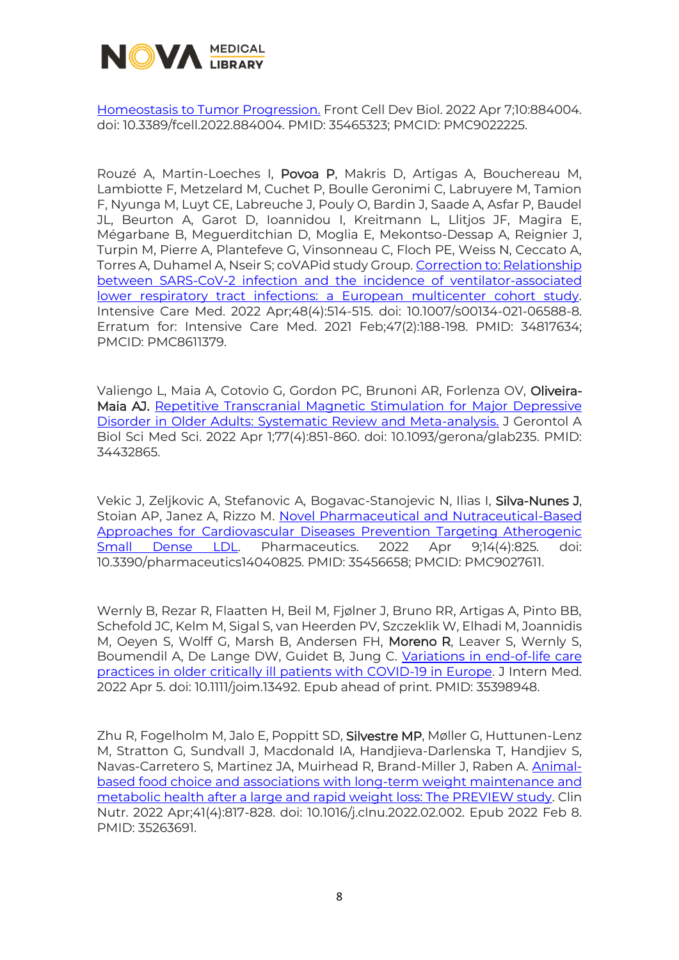

[Homeostasis to Tumor Progression.](https://www.frontiersin.org/articles/10.3389/fcell.2022.884004/full) Front Cell Dev Biol. 2022 Apr 7;10:884004. doi: 10.3389/fcell.2022.884004. PMID: 35465323; PMCID: PMC9022225.

Rouzé A, Martin-Loeches I, Povoa P, Makris D, Artigas A, Bouchereau M, Lambiotte F, Metzelard M, Cuchet P, Boulle Geronimi C, Labruyere M, Tamion F, Nyunga M, Luyt CE, Labreuche J, Pouly O, Bardin J, Saade A, Asfar P, Baudel JL, Beurton A, Garot D, Ioannidou I, Kreitmann L, Llitjos JF, Magira E, Mégarbane B, Meguerditchian D, Moglia E, Mekontso-Dessap A, Reignier J, Turpin M, Pierre A, Plantefeve G, Vinsonneau C, Floch PE, Weiss N, Ceccato A, Torres A, Duhamel A, Nseir S; coVAPid study Group. Correction to: Relationship [between SARS-CoV-2 infection and the incidence of ventilator-associated](https://www.ncbi.nlm.nih.gov/pmc/articles/PMC8611379/)  [lower respiratory tract infections: a European multicenter cohort study.](https://www.ncbi.nlm.nih.gov/pmc/articles/PMC8611379/) Intensive Care Med. 2022 Apr;48(4):514-515. doi: 10.1007/s00134-021-06588-8. Erratum for: Intensive Care Med. 2021 Feb;47(2):188-198. PMID: 34817634; PMCID: PMC8611379.

Valiengo L, Maia A, Cotovio G, Gordon PC, Brunoni AR, Forlenza OV, Oliveira-Maia AJ. [Repetitive Transcranial Magnetic Stimulation for Major Depressive](https://academic.oup.com/biomedgerontology/article-abstract/77/4/851/6357759?redirectedFrom=fulltext&login=true)  [Disorder in Older Adults: Systematic Review and Meta-analysis.](https://academic.oup.com/biomedgerontology/article-abstract/77/4/851/6357759?redirectedFrom=fulltext&login=true) J Gerontol A Biol Sci Med Sci. 2022 Apr 1;77(4):851-860. doi: 10.1093/gerona/glab235. PMID: 34432865.

Vekic J, Zeljkovic A, Stefanovic A, Bogavac-Stanojevic N, Ilias I, Silva-Nunes J, Stoian AP, Janez A, Rizzo M. [Novel Pharmaceutical and Nutraceutical-Based](https://www.mdpi.com/1999-4923/14/4/825)  [Approaches for Cardiovascular Diseases Prevention Targeting Atherogenic](https://www.mdpi.com/1999-4923/14/4/825)  [Small Dense LDL.](https://www.mdpi.com/1999-4923/14/4/825) Pharmaceutics. 2022 Apr 9;14(4):825. doi: 10.3390/pharmaceutics14040825. PMID: 35456658; PMCID: PMC9027611.

Wernly B, Rezar R, Flaatten H, Beil M, Fjølner J, Bruno RR, Artigas A, Pinto BB, Schefold JC, Kelm M, Sigal S, van Heerden PV, Szczeklik W, Elhadi M, Joannidis M, Oeyen S, Wolff G, Marsh B, Andersen FH, Moreno R, Leaver S, Wernly S, Boumendil A, De Lange DW, Guidet B, Jung C. [Variations in end-of-life care](https://onlinelibrary.wiley.com/doi/10.1111/joim.13492)  [practices in older critically ill patients with COVID-19 in Europe.](https://onlinelibrary.wiley.com/doi/10.1111/joim.13492) J Intern Med. 2022 Apr 5. doi: 10.1111/joim.13492. Epub ahead of print. PMID: 35398948.

Zhu R, Fogelholm M, Jalo E, Poppitt SD, Silvestre MP, Møller G, Huttunen-Lenz M, Stratton G, Sundvall J, Macdonald IA, Handjieva-Darlenska T, Handjiev S, Navas-Carretero S, Martinez JA, Muirhead R, Brand-Miller J, Raben A. [Animal](https://www.sciencedirect.com/science/article/pii/S0261561422000462?via%3Dihub)[based food choice and associations with long-term weight maintenance and](https://www.sciencedirect.com/science/article/pii/S0261561422000462?via%3Dihub)  [metabolic health after a large and rapid weight loss: The PREVIEW study.](https://www.sciencedirect.com/science/article/pii/S0261561422000462?via%3Dihub) Clin Nutr. 2022 Apr;41(4):817-828. doi: 10.1016/j.clnu.2022.02.002. Epub 2022 Feb 8. PMID: 35263691.